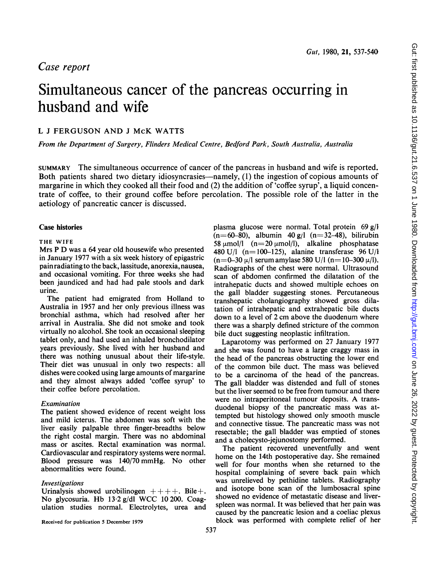# Case report

# Simultaneous cancer of the pancreas occurring in husband and wife

# L <sup>J</sup> FERGUSON AND <sup>J</sup> McK WATTS

From the Department of Surgery, Flinders Medical Centre, Bedford Park, South Australia, Australia

SUMMARY The simultaneous occurrence of cancer of the pancreas in husband and wife is reported. Both patients shared two dietary idiosyncrasies—namely, (1) the ingestion of copious amounts of margarine in which they cooked all their food and (2) the addition of 'coffee syrup', a liquid concentrate of coffee, to their ground coffee before percolation. The possible role of the latter in the aetiology of pancreatic cancer is discussed.

#### Case histories

#### THE WIFE

Mrs P D was <sup>a</sup> <sup>64</sup> year old housewife who presented in January 1977 with a six week history of epigastric pain radiating to the back, lassitude, anorexia, nausea, and occasional vomiting. For three weeks she had been jaundiced and had had pale stools and dark urine.

The patient had emigrated from Holland to Australia in 1957 and her only previous illness was bronchial asthma, which had resolved after her arrival in Australia. She did not smoke and took virtually no alcohol. She took an occasional sleeping tablet only, and had used an inhaled bronchodilator years previously. She lived with her husband and there was nothing unusual about their life-style. Their diet was unusual in only two respects: all dishes were cooked using large amounts of margarine and they almost always added 'coffee syrup' to their coffee before percolation.

#### Examination

The patient showed evidence of recent weight loss and mild icterus. The abdomen was soft with the liver easily palpable three finger-breadths below the right costal margin. There was no abdominal mass or ascites. Rectal examination was normal. Cardiovascular and respiratory systems were normal. Blood pressure was 140/70 mmHg. No other abnormalities were found.

#### Investigations

Urinalysis showed urobilinogen  $++++$ . Bile+. No glycosuria. Hb <sup>132</sup> g/dl WCC <sup>10</sup> 200. Coagulation studies normal. Electrolytes, urea and plasma glucose were normal. Total protein 69 g/1  $(n=60-80)$ , albumin 40 g/l  $(n=32-48)$ , bilirubin 58  $\mu$ mol/l (n=20  $\mu$ mol/l), alkaline phosphatase 480 U/l  $(n= 100-125)$ , alanine transferase 96 U/l  $(n=0-30 \mu/l$  serum amylase 580 U/l  $(n= 10-300 \mu/l)$ . Radiographs of the chest were normal. Ultrasound scan of abdomen confirmed the dilatation of the intrahepatic ducts and showed multiple echoes on the gall bladder suggesting stones. Percutaneous transhepatic cholangiography showed gross dilatation of intrahepatic and extrahepatic bile ducts down to a level of 2 cm above the duodenum where there was a sharply defined stricture of the common bile duct suggesting neoplastic infiltration.

Laparotomy was performed on 27 January 1977 and she was found to have a large craggy mass in the head of the pancreas obstructing the lower end of the common bile duct. The mass was believed to be a carcinoma of the head of the pancreas. The gall bladder was distended and full of stones but the liver seemed to be free from tumour and there were no intraperitoneal tumour deposits. A transduodenal biopsy of the pancreatic mass was attempted but histology showed only smooth muscle and connective tissue. The pancreatic mass was not resectable; the gall bladder was emptied of stones and a cholecysto-jejunostomy performed.

The patient recovered uneventfully and went home on the 14th postoperative day. She remained well for four months when she returned to the hospital complaining of severe back pain which was unrelieved by pethidine tablets. Radiography and isotope bone scan of the lumbosacral spine showed no evidence of metastatic disease and liverspleen was normal. It was believed that her pain was caused by the pancreatic lesion and a coeliac plexus block was performed with complete relief of her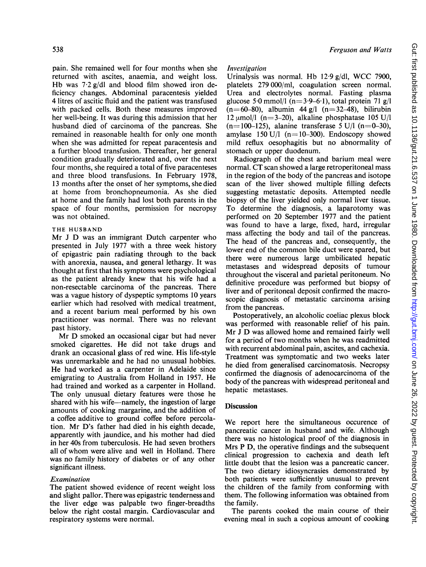pain. She remained well for four months when she returned with ascites, anaemia, and weight loss. Hb was  $7.2$  g/dl and blood film showed iron deficiency changes. Abdominal paracentesis yielded 4 litres of ascitic fluid and the patient was transfused with packed cells. Both these measures improved her well-being. It was during this admission that her husband died of carcinoma of the pancreas. She remained in reasonable health for only one month when she was admitted for repeat paracentesis and a further blood transfusion. Thereafter, her general condition gradually deteriorated and, over the next four months, she required a total of five paracenteses and three blood transfusions. In February 1978, 13 months after the onset of her symptoms, she died at home from bronchopneumonia. As she died at home and the family had lost both parents in the space of four months, permission for necropsy was not obtained.

#### THE HUSBAND

Mr J D was an immigrant Dutch carpenter who presented in July 1977 with a three week history of epigastric pain radiating through to the back with anorexia, nausea, and general lethargy. It was thought at first that his symptoms were psychological as the patient already knew that his wife had a non-resectable carcinoma of the pancreas. There was a vague history of dyspeptic symptoms 10 years earlier which had resolved with medical treatment, and a recent barium meal performed by his own practitioner was normal. There was no relevant past history.

Mr D smoked an occasional cigar but had never smoked cigarettes. He did not take drugs and drank an occasional glass of red wine. His life-style was unremarkable and he had no unusual hobbies. He had worked as a carpenter in Adelaide since emigrating to Australia from Holland in 1957. He had trained and worked as a carpenter in Holland. The only unusual dietary features were those he shared with his wife—namely, the ingestion of large amounts of cooking margarine, and the addition of a coffee additive to ground coffee before percolation. Mr D's father had died in his eighth decade, apparently with jaundice, and his mother had died in her 40s from tuberculosis. He had seven brothers all of whom were alive and well in Holland. There was no family history of diabetes or of any other significant illness.

#### Examination

The patient showed evidence of recent weight loss and slight pallor. There was epigastric tenderness and the liver edge was palpable two finger-breadths below the right costal margin. Cardiovascular and respiratory systems were normal.

# Ferguson and Watts

Investigation

Urinalysis was normal. Hb 12-9 g/dl, WCC 7900, platelets 279 000/ml, coagulation screen normal. Urea and electrolytes normal. Fasting plasma glucose 5.0 mmol/l ( $n=3.9-6.1$ ), total protein 71 g/l  $(n= 60-80)$ , albumin 44 g/l  $(n= 32-48)$ , bilirubin  $12 \mu \text{mol/l}$  (n=3-20), alkaline phosphatase 105 U/l  $(n= 100-125)$ , alanine transferase 5 U/l  $(n=0-30)$ , amylase 150 U/l  $(n= 10-300)$ . Endoscopy showed mild reflux oesophagitis but no abnormality of stomach or upper duodenum.

Radiograph of the chest and barium meal were normal. CT scan showed <sup>a</sup> large retroperitoneal mass in the region of the body of the pancreas and isotope scan of the liver showed multiple filling defects suggesting metastatic deposits. Attempted needle biopsy of the liver yielded only normal liver tissue. To determine the diagnosis, a laparotomy was performed on 20 September 1977 and the patient was found to have a large, fixed, hard, irregular mass affecting the body and tail of the pancreas. The head of the pancreas and, consequently, the lower end of the common bile duct were spared, but there were numerous large umbilicated hepatic metastases and widespread deposits of tumour throughout the visceral and parietal peritoneum. No definitive procedure was performed but biopsy of liver and of peritoneal deposit confirmed the macroscopic diagnosis of metastatic carcinoma arising from the pancreas.

Postoperatively, an alcoholic coeliac plexus block was performed with reasonable relief of his pain. Mr <sup>J</sup> D was allowed home and remained fairly well for a period of two months when he was readmitted with recurrent abdominal pain, ascites, and cachexia. Treatment was symptomatic and two weeks later he died from generalised carcinomatosis. Necropsy confirmed the diagnosis of adenocarcinoma of the body of the pancreas with widespread peritoneal and hepatic metastases.

#### **Discussion**

We report here the simultaneous occurence of pancreatic cancer in husband and wife. Although there was no histological proof of the diagnosis in Mrs P D, the operative findings and the subsequent clinical progression to cachexia and death left little doubt that the lesion was a pancreatic cancer. The two dietary idiosyncrasies demonstrated by both patients were sufficiently unusual to prevent the children of the family from conforming with them. The following information was obtained from the family.

The parents cooked the main course of their evening meal in such a copious amount of cooking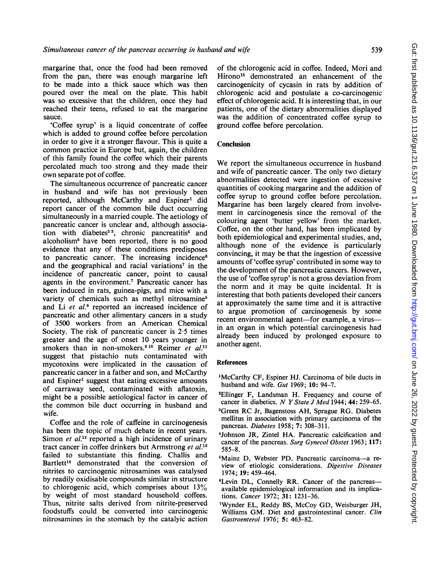margarine that, once the food had been removed from the pan, there was enough margarine left to be made into a thick sauce which was then poured over the meal on the plate. This habit was so excessive that the children, once they had reached their teens, refused to eat the margarine sauce.

'Coffee syrup' is a liquid concentrate of coffee which is added to ground coffee before percolation in order to give it a stronger flavour. This is quite a common practice in Europe but, again, the children of this family found the coffee which their parents percolated much too strong and they made their own separate pot of coffee.

The simultaneous occurrence of pancreatic cancer in husband and wife has not previously been reported, although McCarthy and Espiner' did report cancer of the common bile duct occurring simultaneously in a married couple. The aetiology of pancreatic cancer is unclear and, although association with diabetes<sup>23</sup>, chronic pancreatitis<sup>4</sup> and alcoholism<sup>5</sup> have been reported, there is no good evidence that any of these conditions predisposes to pancreatic cancer. The increasing incidence<sup>6</sup> and the geographical and racial variations<sup>7</sup> in the incidence of pancreatic cancer, point to causal agents in the environment.7 Pancreatic cancer has been induced in rats, guinea-pigs, and mice with a variety of chemicals such as methyl nitrosamine<sup>5</sup> and Li et al.<sup>8</sup> reported an increased incidence of pancreatic and other alimentary cancers in a study of 3500 workers from an American Chemical Society. The risk of pancreatic cancer is 2.5 times greater and the age of onset 10 years younger in smokers than in non-smokers.<sup>9 10</sup> Reimer et al.<sup>11</sup> suggest that pistachio nuts contaminated with mycotoxins were implicated in the causation of pancreatic cancer in a father and son, and McCarthy and Espiner' suggest that eating excessive amounts of carraway seed, contaminated with aflatoxin, might be a possible aetiological factor in cancer of the common bile duct occurring in husband and wife.

Coffee and the role of caffeine in carcinogenesis has been the topic of much debate in recent years. Simon *et al.*<sup>12</sup> reported a high incidence of urinary tract cancer in coffee drinkers but Armstrong et al.<sup>13</sup> failed to substantiate this finding. Challis and Bartlett<sup>14</sup> demonstrated that the conversion of nitrites to carcinogenic nitrosamines was catalysed by readily oxidisable compounds similar in structure to chlorogenic acid, which comprises about 13% by weight of most standard household coffees. Thus, nitrite salts derived from nitrite-preserved foodstuffs could be converted into carcinogenic nitrosamines in the stomach by the catalyic action of the chlorogenic acid in coffee. Indeed, Mori and Hirono<sup>15</sup> demonstrated an enhancement of the carcinogenicity of cycasin in rats by addition of chlorogenic acid and postulate a co-carcinogenic effect of chlorogenic acid. It is interesting that, in our patients, one of the dietary abnormalities displayed was the addition of concentrated coffee syrup to ground coffee before percolation.

## Conclusion

We report the simultaneous occurrence in husband and wife of pancreatic cancer. The only two dietary abnormalities detected were ingestion of excessive quantities of cooking margarine and the addition of coffee syrup to ground coffee before percolation. Margarine has been largely cleared from involvement in carcinogenesis since the removal of the colouring agent 'butter yellow' from the market. Coffee, on the other hand, has been implicated by both epidemiological and experimental studies, and, although none of the evidence is particularly convincing, it may be that the ingestion of excessive amounts of 'coffee syrup' contributed in some way to the development of the pancreatic cancers. However, the use of 'coffee syrup' is not a gross deviation from the norm and it may be quite incidental. It is interesting that both patients developed their cancers at approximately the same time and it is attractive to argue promotion of carcinogenesis by some recent environmental agent-for example, a virusin an organ in which potential carcinogenesis had already been induced by prolonged exposure to another agent.

#### References

- 1McCarthy CF, Espiner HJ. Carcinoma of bile ducts in husband and wife. Gut 1969; 10: 94-7.
- 2Ellinger F, Landsman H. Frequency and course of cancer in diabetics. N Y State J Med 1944; 44: 259-65.
- 3Green RC Jr, Bagenstoss AH, Sprague RG. Diabetes mellitus in association with primary carcinoma of the pancreas. Diabetes 1958; 7: 308-311.
- 4Johnson JR, Zintel HA. Pancreatic calcification and cancer of the pancreas. Surg Gynecol Obstet 1963; 117: 585-8.
- <sup>5</sup>Mainz D, Webster PD. Pancreatic carcinoma-a review of etiologic considerations. Digestive Diseases 1974; 19: 459-464.
- <sup>6</sup>Levin DL, Connelly RR. Cancer of the pancreasavailable epidemiological information and its implications. Cancer 1972; 31: 1231-36.
- 7Wynder EL, Reddy BS, McCoy GD, Weisburger JH, Williams GM. Diet and gastrointestinal cancer. Clin Gastroenterol 1976; 5: 463-82.